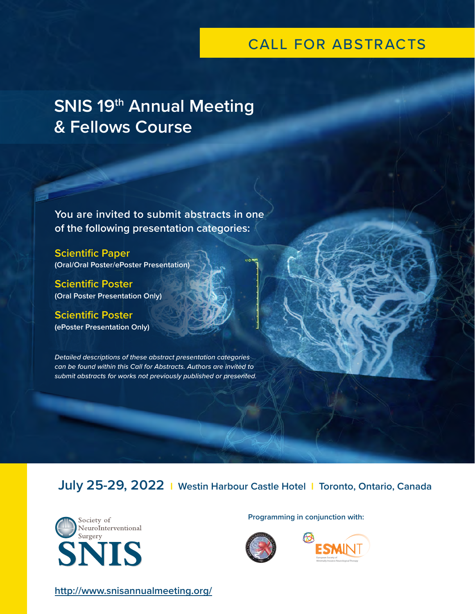# CALL FOR ABSTRACTS

# **SNIS 19th Annual Meeting & Fellows Course**

**You are invited to submit abstracts in one of the following presentation categories:**

**Scientific Paper (Oral/Oral Poster/ePoster Presentation)**

**Scientific Poster (Oral Poster Presentation Only)**

**Scientific Poster (ePoster Presentation Only)**

*Detailed descriptions of these abstract presentation categories can be found within this Call for Abstracts. Authors are invited to submit abstracts for works not previously published or presented.*

**July 25-29, 2022 I Westin Harbour Castle Hotel I Toronto, Ontario, Canada**



**Programming in conjunction with:**





**<http://www.snisannualmeeting.org/>**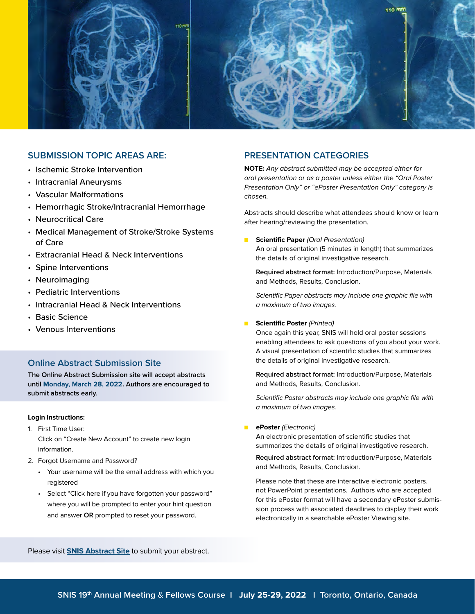

## **SUBMISSION TOPIC AREAS ARE:**

- Ischemic Stroke Intervention
- Intracranial Aneurysms
- Vascular Malformations
- Hemorrhagic Stroke/Intracranial Hemorrhage
- Neurocritical Care
- Medical Management of Stroke/Stroke Systems of Care
- Extracranial Head & Neck Interventions
- Spine Interventions
- Neuroimaging
- Pediatric Interventions
- Intracranial Head & Neck Interventions
- Basic Science
- Venous Interventions

## **Online Abstract Submission Site**

**The Online Abstract Submission site will accept abstracts until Monday, March 28, 2022. Authors are encouraged to submit abstracts early.**

#### **Login Instructions:**

- 1. First Time User: Click on "Create New Account" to create new login information.
- 2. Forgot Username and Password?
	- Your username will be the email address with which you registered
	- Select "Click here if you have forgotten your password" where you will be prompted to enter your hint question and answer **OR** prompted to reset your password.

### **PRESENTATION CATEGORIES**

**NOTE:** Any abstract submitted may be accepted either for oral presentation or as a poster unless either the "Oral Poster Presentation Only" or "ePoster Presentation Only" category is chosen.

Abstracts should describe what attendees should know or learn after hearing/reviewing the presentation.

**Scientific Paper (Oral Presentation)** An oral presentation (5 minutes in length) that summarizes the details of original investigative research.

**Required abstract format:** Introduction/Purpose, Materials and Methods, Results, Conclusion.

Scientific Paper abstracts may include one graphic file with a maximum of two images.

#### **Scientific Poster (Printed)**

Once again this year, SNIS will hold oral poster sessions enabling attendees to ask questions of you about your work. A visual presentation of scientific studies that summarizes the details of original investigative research.

**Required abstract format:** Introduction/Purpose, Materials and Methods, Results, Conclusion.

Scientific Poster abstracts may include one graphic file with a maximum of two images.

ePoster (Electronic)

An electronic presentation of scientific studies that summarizes the details of original investigative research.

**Required abstract format:** Introduction/Purpose, Materials and Methods, Results, Conclusion.

Please note that these are interactive electronic posters, not PowerPoint presentations. Authors who are accepted for this ePoster format will have a secondary ePoster submission process with associated deadlines to display their work electronically in a searchable ePoster Viewing site.

Please visit **[SNIS Abstract Site](https://www.abstractsonline.com/dashboard/login.asp?aId=156&targetMKey=%7b3C7B9173-2CAF-4855-97D1-9FDA4DB1143F%7d&targetMod=submit)** to submit your abstract.